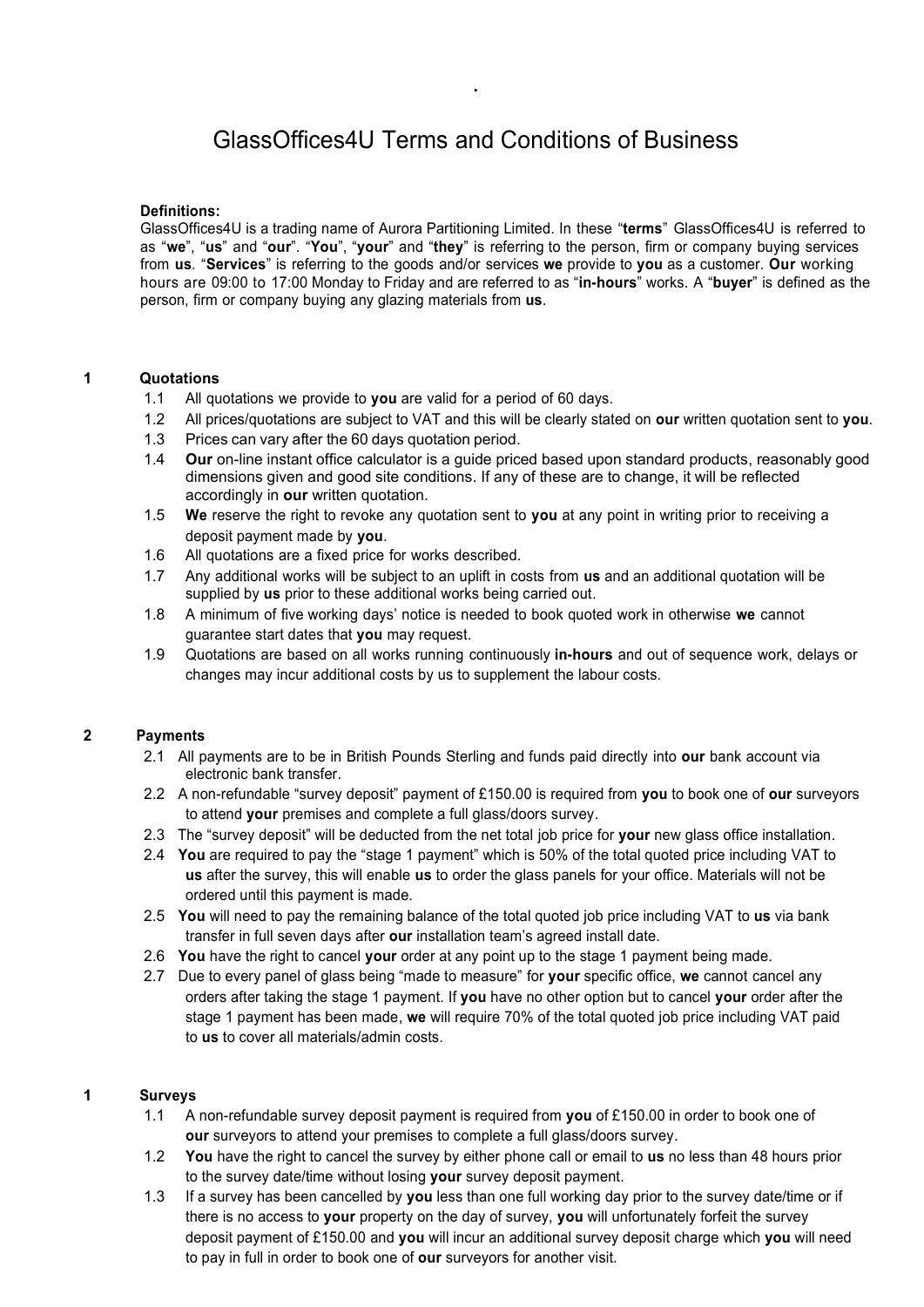# GlassOffices4U Terms and Conditions of Business

.

#### **Definitions:**

GlassOffices4U is a trading name of Aurora Partitioning Limited. In these "**terms**" GlassOffices4U is referred to as "**we**", "**us**" and "**our**". "**You**", "**your**" and "**they**" is referring to the person, firm or company buying services from **us**. "**Services**" is referring to the goods and/or services **we** provide to **you** as a customer. **Our** working hours are 09:00 to 17:00 Monday to Friday and are referred to as "**in-hours**" works. A "**buyer**" is defined as the person, firm or company buying any glazing materials from **us**.

#### **1 Quotations**

- 1.1 All quotations we provide to **you** are valid for a period of 60 days.
- 1.2 All prices/quotations are subject to VAT and this will be clearly stated on **our** written quotation sent to **you**.
- 1.3 Prices can vary after the 60 days quotation period.
- 1.4 **Our** on-line instant office calculator is a guide priced based upon standard products, reasonably good dimensions given and good site conditions. If any of these are to change, it will be reflected accordingly in **our** written quotation.
- 1.5 **We** reserve the right to revoke any quotation sent to **you** at any point in writing prior to receiving a deposit payment made by **you**.
- 1.6 All quotations are a fixed price for works described.
- 1.7 Any additional works will be subject to an uplift in costs from **us** and an additional quotation will be supplied by **us** prior to these additional works being carried out.
- 1.8 A minimum of five working days' notice is needed to book quoted work in otherwise **we** cannot guarantee start dates that **you** may request.
- 1.9 Quotations are based on all works running continuously **in-hours** and out of sequence work, delays or changes may incur additional costs by us to supplement the labour costs.

### **2 Payments**

- 2.1 All payments are to be in British Pounds Sterling and funds paid directly into **our** bank account via electronic bank transfer.
- 2.2 A non-refundable "survey deposit" payment of £150.00 is required from **you** to book one of **our** surveyors to attend **your** premises and complete a full glass/doors survey.
- 2.3 The "survey deposit" will be deducted from the net total job price for **your** new glass office installation.
- 2.4 **You** are required to pay the "stage 1 payment" which is 50% of the total quoted price including VAT to **us** after the survey, this will enable **us** to order the glass panels for your office. Materials will not be ordered until this payment is made.
- 2.5 **You** will need to pay the remaining balance of the total quoted job price including VAT to **us** via bank transfer in full seven days after **our** installation team's agreed install date.
- 2.6 **You** have the right to cancel **your** order at any point up to the stage 1 payment being made.
- 2.7 Due to every panel of glass being "made to measure" for **your** specific office, **we** cannot cancel any orders after taking the stage 1 payment. If **you** have no other option but to cancel **your** order after the stage 1 payment has been made, **we** will require 70% of the total quoted job price including VAT paid to **us** to cover all materials/admin costs.

#### **1 Surveys**

- 1.1 A non-refundable survey deposit payment is required from **you** of £150.00 in order to book one of **our** surveyors to attend your premises to complete a full glass/doors survey.
- 1.2 **You** have the right to cancel the survey by either phone call or email to **us** no less than 48 hours prior to the survey date/time without losing **your** survey deposit payment.
- 1.3 If a survey has been cancelled by **you** less than one full working day prior to the survey date/time or if there is no access to **your** property on the day of survey, **you** will unfortunately forfeit the survey deposit payment of £150.00 and **you** will incur an additional survey deposit charge which **you** will need to pay in full in order to book one of **our** surveyors for another visit.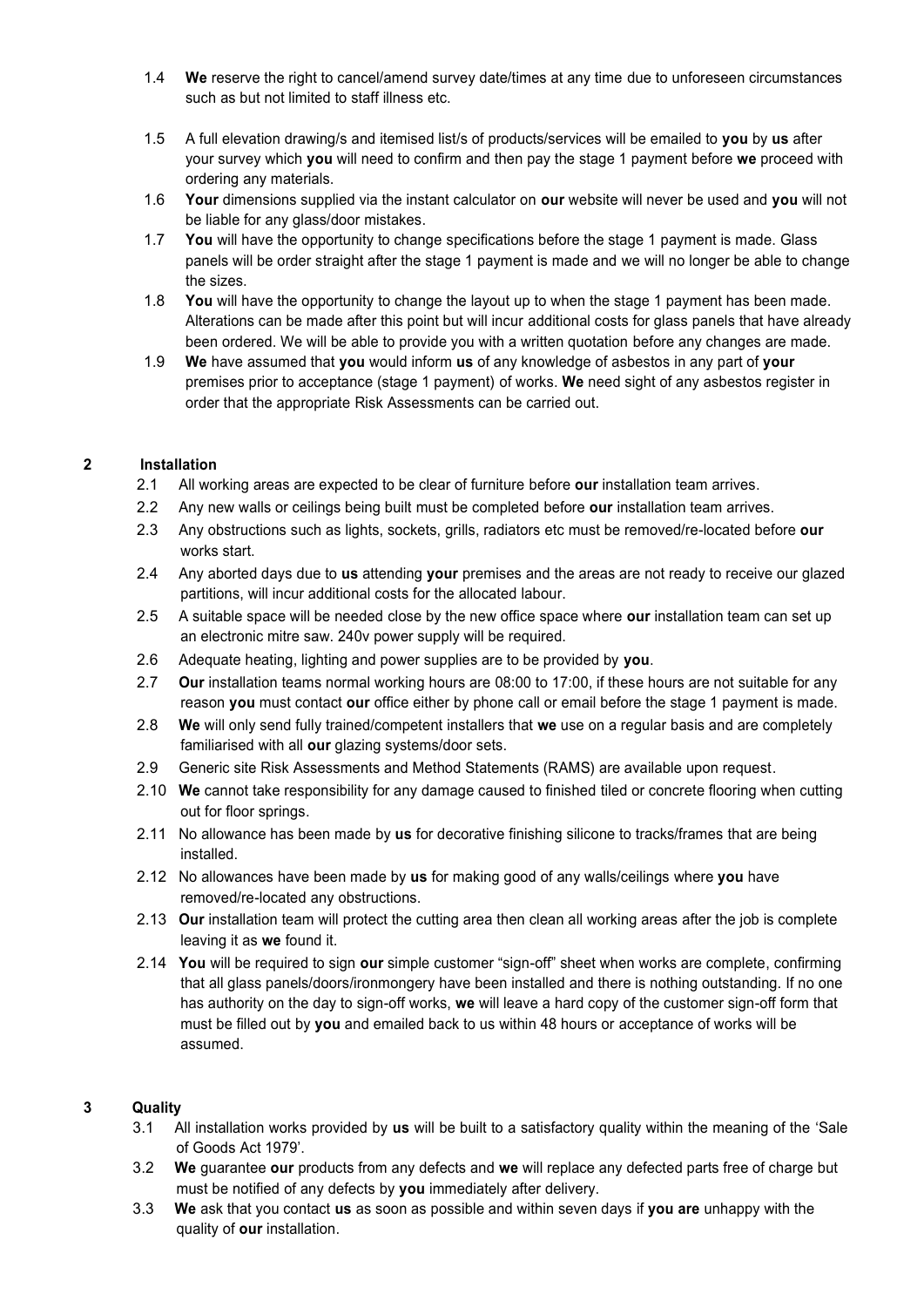- 1.4 **We** reserve the right to cancel/amend survey date/times at any time due to unforeseen circumstances such as but not limited to staff illness etc.
- 1.5 A full elevation drawing/s and itemised list/s of products/services will be emailed to **you** by **us** after your survey which **you** will need to confirm and then pay the stage 1 payment before **we** proceed with ordering any materials.
- 1.6 **Your** dimensions supplied via the instant calculator on **our** website will never be used and **you** will not be liable for any glass/door mistakes.
- 1.7 **You** will have the opportunity to change specifications before the stage 1 payment is made. Glass panels will be order straight after the stage 1 payment is made and we will no longer be able to change the sizes.
- 1.8 **You** will have the opportunity to change the layout up to when the stage 1 payment has been made. Alterations can be made after this point but will incur additional costs for glass panels that have already been ordered. We will be able to provide you with a written quotation before any changes are made.
- 1.9 **We** have assumed that **you** would inform **us** of any knowledge of asbestos in any part of **your** premises prior to acceptance (stage 1 payment) of works. **We** need sight of any asbestos register in order that the appropriate Risk Assessments can be carried out.

# **2 Installation**

- 2.1 All working areas are expected to be clear of furniture before **our** installation team arrives.
- 2.2 Any new walls or ceilings being built must be completed before **our** installation team arrives.
- 2.3 Any obstructions such as lights, sockets, grills, radiators etc must be removed/re-located before **our** works start.
- 2.4 Any aborted days due to **us** attending **your** premises and the areas are not ready to receive our glazed partitions, will incur additional costs for the allocated labour.
- 2.5 A suitable space will be needed close by the new office space where **our** installation team can set up an electronic mitre saw. 240v power supply will be required.
- 2.6 Adequate heating, lighting and power supplies are to be provided by **you**.
- 2.7 **Our** installation teams normal working hours are 08:00 to 17:00, if these hours are not suitable for any reason **you** must contact **our** office either by phone call or email before the stage 1 payment is made.
- 2.8 **We** will only send fully trained/competent installers that **we** use on a regular basis and are completely familiarised with all **our** glazing systems/door sets.
- 2.9 Generic site Risk Assessments and Method Statements (RAMS) are available upon request.
- 2.10 **We** cannot take responsibility for any damage caused to finished tiled or concrete flooring when cutting out for floor springs.
- 2.11 No allowance has been made by **us** for decorative finishing silicone to tracks/frames that are being installed.
- 2.12 No allowances have been made by **us** for making good of any walls/ceilings where **you** have removed/re-located any obstructions.
- 2.13 **Our** installation team will protect the cutting area then clean all working areas after the job is complete leaving it as **we** found it.
- 2.14 **You** will be required to sign **our** simple customer "sign-off" sheet when works are complete, confirming that all glass panels/doors/ironmongery have been installed and there is nothing outstanding. If no one has authority on the day to sign-off works, **we** will leave a hard copy of the customer sign-off form that must be filled out by **you** and emailed back to us within 48 hours or acceptance of works will be assumed.

# **3 Quality**

- 3.1 All installation works provided by **us** will be built to a satisfactory quality within the meaning of the 'Sale of Goods Act 1979'.
- 3.2 **We** guarantee **our** products from any defects and **we** will replace any defected parts free of charge but must be notified of any defects by **you** immediately after delivery.
- 3.3 **We** ask that you contact **us** as soon as possible and within seven days if **you are** unhappy with the quality of **our** installation.